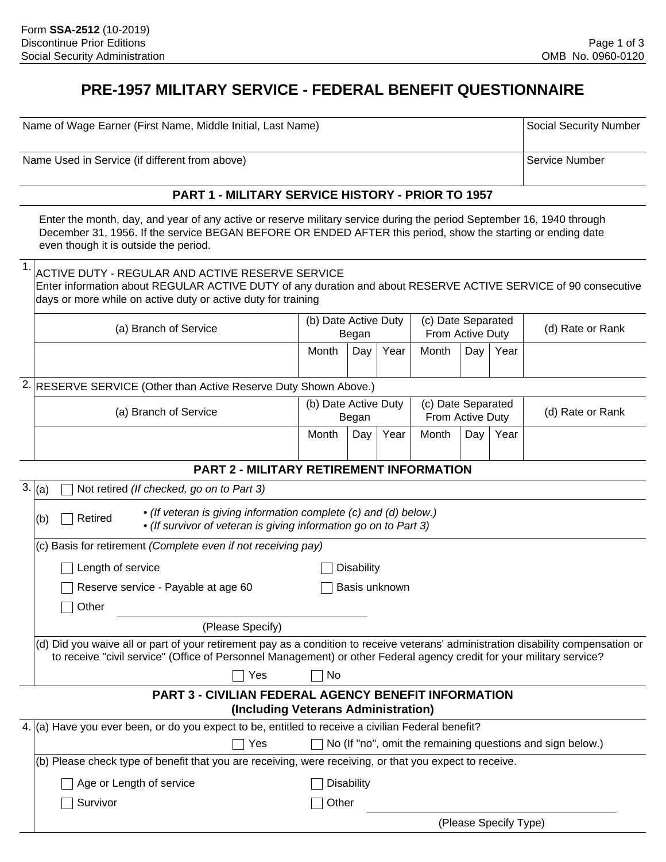# **PRE-1957 MILITARY SERVICE - FEDERAL BENEFIT QUESTIONNAIRE**

Name of Wage Earner (First Name, Middle Initial, Last Name)

Name Used in Service (if different from above)

### **PART 1 - MILITARY SERVICE HISTORY - PRIOR TO 1957**

Enter the month, day, and year of any active or reserve military service during the period September 16, 1940 through December 31, 1956. If the service BEGAN BEFORE OR ENDED AFTER this period, show the starting or ending date even though it is outside the period.

|                                                                  | ACTIVE DUTY - REGULAR AND ACTIVE RESERVE SERVICE<br>Enter information about REGULAR ACTIVE DUTY of any duration and about RESERVE ACTIVE SERVICE of 90 consecutive<br>days or more while on active duty or active duty for training |                      |       |      |                                        |     |      |                  |
|------------------------------------------------------------------|-------------------------------------------------------------------------------------------------------------------------------------------------------------------------------------------------------------------------------------|----------------------|-------|------|----------------------------------------|-----|------|------------------|
|                                                                  | (a) Branch of Service                                                                                                                                                                                                               | (b) Date Active Duty | Began |      | (c) Date Separated<br>From Active Duty |     |      | (d) Rate or Rank |
|                                                                  |                                                                                                                                                                                                                                     | Month                | Day   | Year | Month                                  | Day | Year |                  |
| 2. RESERVE SERVICE (Other than Active Reserve Duty Shown Above.) |                                                                                                                                                                                                                                     |                      |       |      |                                        |     |      |                  |
|                                                                  | (a) Branch of Service                                                                                                                                                                                                               | (b) Date Active Duty | Began |      | (c) Date Separated<br>From Active Duty |     |      | (d) Rate or Rank |
|                                                                  |                                                                                                                                                                                                                                     | Month                | Day   | Year | Month                                  | Day | Year |                  |

#### **PART 2 - MILITARY RETIREMENT INFORMATION**

| 3.  (a) | Not retired (If checked, go on to Part 3)                                                                                                                                                                                                                   |                                                                                                                                      |  |  |  |  |
|---------|-------------------------------------------------------------------------------------------------------------------------------------------------------------------------------------------------------------------------------------------------------------|--------------------------------------------------------------------------------------------------------------------------------------|--|--|--|--|
|         | Retired<br>(b)                                                                                                                                                                                                                                              | • (If veteran is giving information complete (c) and (d) below.)<br>• (If survivor of veteran is giving information go on to Part 3) |  |  |  |  |
|         | (c) Basis for retirement (Complete even if not receiving pay)                                                                                                                                                                                               |                                                                                                                                      |  |  |  |  |
|         | Length of service                                                                                                                                                                                                                                           | Disability                                                                                                                           |  |  |  |  |
|         | Reserve service - Payable at age 60                                                                                                                                                                                                                         | Basis unknown                                                                                                                        |  |  |  |  |
|         | Other                                                                                                                                                                                                                                                       |                                                                                                                                      |  |  |  |  |
|         | (Please Specify)                                                                                                                                                                                                                                            |                                                                                                                                      |  |  |  |  |
|         | (d) Did you waive all or part of your retirement pay as a condition to receive veterans' administration disability compensation or<br>to receive "civil service" (Office of Personnel Management) or other Federal agency credit for your military service? |                                                                                                                                      |  |  |  |  |
|         | Yes                                                                                                                                                                                                                                                         | <b>No</b>                                                                                                                            |  |  |  |  |
|         |                                                                                                                                                                                                                                                             | <b>PART 3 - CIVILIAN FEDERAL AGENCY BENEFIT INFORMATION</b><br>(Including Veterans Administration)                                   |  |  |  |  |
|         | 4. (a) Have you ever been, or do you expect to be, entitled to receive a civilian Federal benefit?                                                                                                                                                          |                                                                                                                                      |  |  |  |  |
|         | Yes                                                                                                                                                                                                                                                         | No (If "no", omit the remaining questions and sign below.)                                                                           |  |  |  |  |
|         |                                                                                                                                                                                                                                                             | (b) Please check type of benefit that you are receiving, were receiving, or that you expect to receive.                              |  |  |  |  |
|         | Age or Length of service                                                                                                                                                                                                                                    | Disability                                                                                                                           |  |  |  |  |
|         | Survivor                                                                                                                                                                                                                                                    | Other                                                                                                                                |  |  |  |  |

Social Security Number

Service Number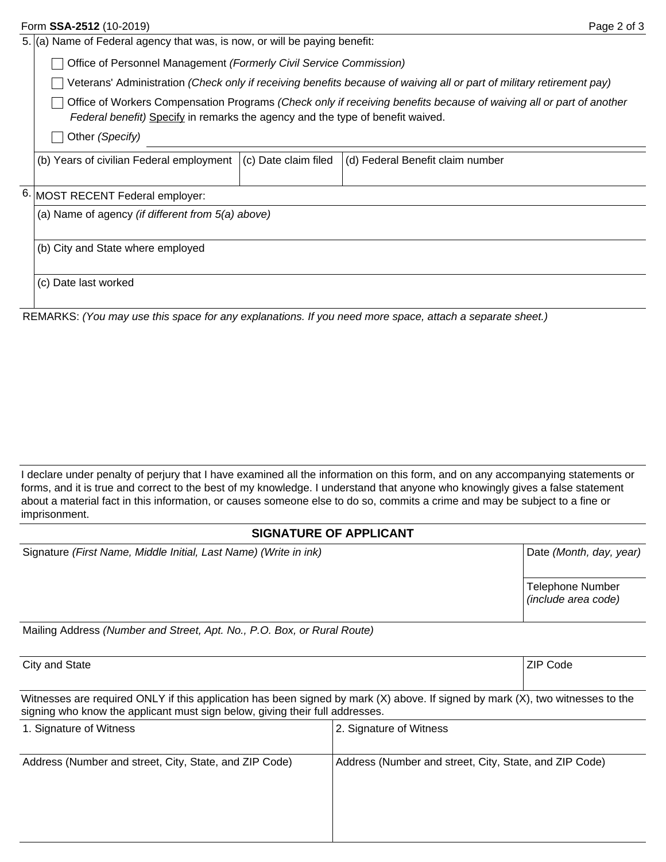|  | Form SSA-2512 (10-2019)                                                                                                                                                                                                                                                                                                        |                      | Page 2 of 3                      |  |  |
|--|--------------------------------------------------------------------------------------------------------------------------------------------------------------------------------------------------------------------------------------------------------------------------------------------------------------------------------|----------------------|----------------------------------|--|--|
|  | 5. (a) Name of Federal agency that was, is now, or will be paying benefit:                                                                                                                                                                                                                                                     |                      |                                  |  |  |
|  | Office of Personnel Management (Formerly Civil Service Commission)                                                                                                                                                                                                                                                             |                      |                                  |  |  |
|  | Veterans' Administration (Check only if receiving benefits because of waiving all or part of military retirement pay)<br>Office of Workers Compensation Programs (Check only if receiving benefits because of waiving all or part of another<br>Federal benefit) Specify in remarks the agency and the type of benefit waived. |                      |                                  |  |  |
|  |                                                                                                                                                                                                                                                                                                                                |                      |                                  |  |  |
|  | Other (Specify)                                                                                                                                                                                                                                                                                                                |                      |                                  |  |  |
|  | (b) Years of civilian Federal employment                                                                                                                                                                                                                                                                                       | (c) Date claim filed | (d) Federal Benefit claim number |  |  |
|  | 6. MOST RECENT Federal employer:                                                                                                                                                                                                                                                                                               |                      |                                  |  |  |
|  | (a) Name of agency <i>(if different from 5(a) above)</i>                                                                                                                                                                                                                                                                       |                      |                                  |  |  |
|  | (b) City and State where employed                                                                                                                                                                                                                                                                                              |                      |                                  |  |  |
|  | (c) Date last worked                                                                                                                                                                                                                                                                                                           |                      |                                  |  |  |

REMARKS: *(You may use this space for any explanations. If you need more space, attach a separate sheet.)*

I declare under penalty of perjury that I have examined all the information on this form, and on any accompanying statements or forms, and it is true and correct to the best of my knowledge. I understand that anyone who knowingly gives a false statement about a material fact in this information, or causes someone else to do so, commits a crime and may be subject to a fine or imprisonment.

# **SIGNATURE OF APPLICANT**

| Signature (First Name, Middle Initial, Last Name) (Write in ink) | Date (Month, day, year) |
|------------------------------------------------------------------|-------------------------|
|                                                                  | <b>Telephone Number</b> |
|                                                                  | (include area code)     |
|                                                                  |                         |

Mailing Address *(Number and Street, Apt. No., P.O. Box, or Rural Route)*

City and State ZIP Code 2. The Code City and State  $\sim$ 

Witnesses are required ONLY if this application has been signed by mark (X) above. If signed by mark (X), two witnesses to the signing who know the applicant must sign below, giving their full addresses.

| 1. Signature of Witness                                | 2. Signature of Witness                                |
|--------------------------------------------------------|--------------------------------------------------------|
| Address (Number and street, City, State, and ZIP Code) | Address (Number and street, City, State, and ZIP Code) |